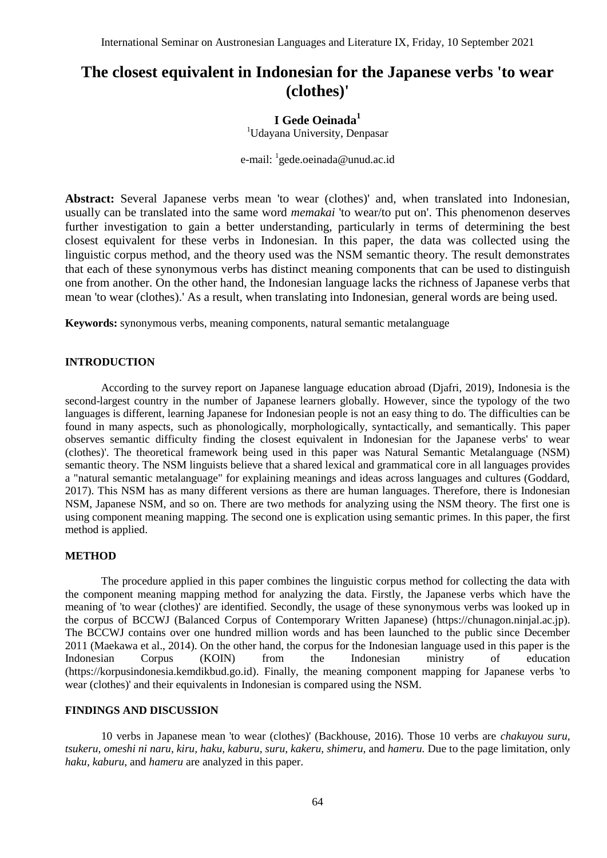# **The closest equivalent in Indonesian for the Japanese verbs 'to wear (clothes)'**

# **I Gede Oeinada<sup>1</sup>**

<sup>1</sup>Udayana University, Denpasar

e-mail: <sup>1</sup>gede.oeinada@unud.ac.id

**Abstract:** Several Japanese verbs mean 'to wear (clothes)' and, when translated into Indonesian, usually can be translated into the same word *memakai* 'to wear/to put on'. This phenomenon deserves further investigation to gain a better understanding, particularly in terms of determining the best closest equivalent for these verbs in Indonesian. In this paper, the data was collected using the linguistic corpus method, and the theory used was the NSM semantic theory. The result demonstrates that each of these synonymous verbs has distinct meaning components that can be used to distinguish one from another. On the other hand, the Indonesian language lacks the richness of Japanese verbs that mean 'to wear (clothes).' As a result, when translating into Indonesian, general words are being used.

**Keywords:** synonymous verbs, meaning components, natural semantic metalanguage

# **INTRODUCTION**

According to the survey report on Japanese language education abroad (Djafri, 2019), Indonesia is the second-largest country in the number of Japanese learners globally. However, since the typology of the two languages is different, learning Japanese for Indonesian people is not an easy thing to do. The difficulties can be found in many aspects, such as phonologically, morphologically, syntactically, and semantically. This paper observes semantic difficulty finding the closest equivalent in Indonesian for the Japanese verbs' to wear (clothes)'. The theoretical framework being used in this paper was Natural Semantic Metalanguage (NSM) semantic theory. The NSM linguists believe that a shared lexical and grammatical core in all languages provides a "natural semantic metalanguage" for explaining meanings and ideas across languages and cultures (Goddard, 2017). This NSM has as many different versions as there are human languages. Therefore, there is Indonesian NSM, Japanese NSM, and so on. There are two methods for analyzing using the NSM theory. The first one is using component meaning mapping. The second one is explication using semantic primes. In this paper, the first method is applied.

#### **METHOD**

The procedure applied in this paper combines the linguistic corpus method for collecting the data with the component meaning mapping method for analyzing the data. Firstly, the Japanese verbs which have the meaning of 'to wear (clothes)' are identified. Secondly, the usage of these synonymous verbs was looked up in the corpus of BCCWJ (Balanced Corpus of Contemporary Written Japanese) [\(https://chunagon.ninjal.ac.jp\)](https://chunagon.ninjal.ac.jp/). The BCCWJ contains over one hundred million words and has been launched to the public since December 2011 (Maekawa et al., 2014). On the other hand, the corpus for the Indonesian language used in this paper is the Indonesian Corpus (KOIN) from the Indonesian ministry of education [\(https://korpusindonesia.kemdikbud.go.id\)](https://korpusindonesia.kemdikbud.go.id/). Finally, the meaning component mapping for Japanese verbs 'to wear (clothes)' and their equivalents in Indonesian is compared using the NSM.

## **FINDINGS AND DISCUSSION**

10 verbs in Japanese mean 'to wear (clothes)' (Backhouse, 2016). Those 10 verbs are *chakuyou suru, tsukeru, omeshi ni naru, kiru, haku, kaburu, suru, kakeru, shimeru,* and *hameru.* Due to the page limitation, only *haku, kaburu*, and *hameru* are analyzed in this paper.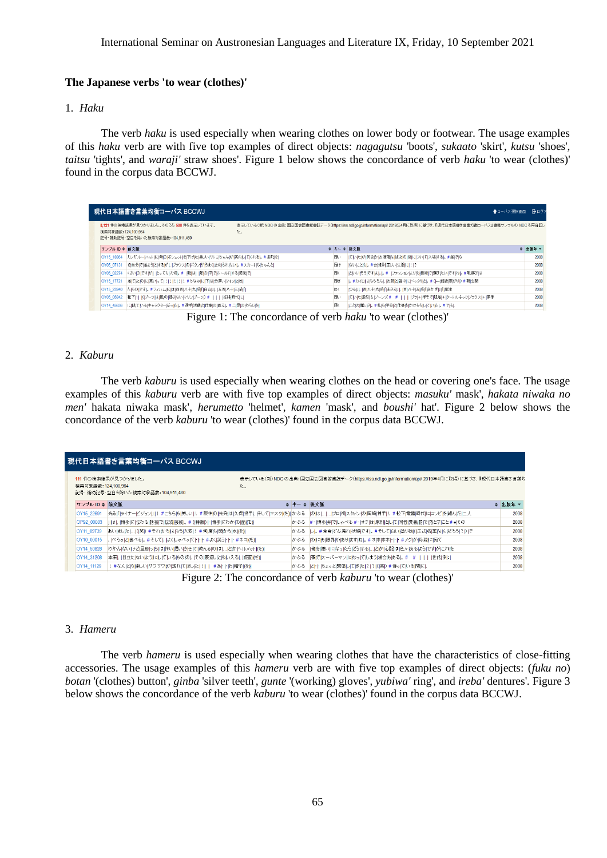## **The Japanese verbs 'to wear (clothes)'**

#### 1. *Haku*

The verb *haku* is used especially when wearing clothes on lower body or footwear. The usage examples of this *haku* verb are with five top examples of direct objects: *nagagutsu* 'boots', *sukaato* 'skirt', *kutsu* 'shoes', *taitsu* 'tights', and *waraji'* straw shoes'. Figure 1 below shows the concordance of verb *haku* 'to wear (clothes)' found in the corpus data BCCWJ.

| 現代日本語書き言葉均衡コーパス BCCWJ<br>  ◆コーバス選択画面 │ Bログア |                                                                               |    |    |                                                                                                                        |         |                                          |      |
|---------------------------------------------|-------------------------------------------------------------------------------|----|----|------------------------------------------------------------------------------------------------------------------------|---------|------------------------------------------|------|
| 検索対象語数: 124,100,964                         | 3.121 件の検索結果が見つかりました。そのうち 500 件を表示しています。<br>記号・補助記号・空白を除いた検索対象語数: 104,911,460 | た。 |    | 表示している(新) NDCの出典:国立国会図書館書誌データ(https://iss.ndl.go.jp/information/api/ 2019年4月に取得)に基づき、『現代日本語書き言葉均衡コーパス』書籍サンブルの NDCを再確認し |         |                                          |      |
| サンブル ID ≑ 前文脈                               |                                                                               |    |    | <b>◆ キー ◆ 後文脈</b>                                                                                                      | ◆ 出版年 ▼ |                                          |      |
| OY15 18864                                  | カンガルーハットに「柴のポシェットを」下げた「美しいけトミちゃんが「案内して」くれる。。#長靴を                              |    | 限: | 「ていたが」何故かお洒落な彼女の後について」入場する。#誰でや                                                                                        | 2008    |                                          |      |
| OY05 07131                                  | を自分で 着よう と する が、  ブラウス の ボタン がらまく 止め られない 。#スカート も ちゃんと                       |    | 履け | ないにとも。#☆ 規則正しい 生活  こ!!?                                                                                                | 2008    |                                          |      |
| OY05 02274                                  | くさいのですが! とっても大切。#  靴は  足)の 甲 ではールドはる 感覚 で                                     |    | 履く | といいそうですは!。!: アァッションはりも機能で過びたいですね!。#靴通びは                                                                                | 2008    |                                          |      |
| OY15 17721                                  | 着にたゆには寒いって!!!!!!!!! #ちなみに!下は!分厚い!タイツ!2!枚                                      |    | 履き | 。#カイロ  まやちろん 、お腹  と 背中  こペッタリと 。#( ← 超絶 寒 がり) #朝 玄関                                                                    | 2008    |                                          |      |
| OY15 23940                                  | たものです。#フィルムには四百八十九系印白山川五百八十三系印                                                |    |    |                                                                                                                        | lt<     | つる  、 百 八十 九 系「あさま」」、 百 八十 五 系「あかぎ  「 草津 | 2008 |
| OY05 05842                                  | 靴下[1]  ((ブーツは)風)の)通さない マリンヴーツ) #       好婦 時代  こ                               |    | 图: | にいた  股引& ジーンズ# #     プラ + 半そで 肌着 + タートルネック プラウス + 厚手                                                                   | 2008    |                                          |      |
| OY14 45636                                  | に似ている!キャラクターだった!。#選手!活動と!仕事(の)両立!。#二足(の)わらじを!                                 |    | 履く | にとゆ 難しさ。#私も学校と仕事をかけもちしていた。#でも、                                                                                         | 2008    |                                          |      |

Figure 1: The concordance of verb *haku* 'to wear (clothes)'

#### 2. *Kaburu*

The verb *kaburu* is used especially when wearing clothes on the head or covering one's face. The usage examples of this *kaburu* verb are with five top examples of direct objects: *masuku'* mask', *hakata niwaka no men'* hakata niwaka mask', *herumetto* 'helmet', *kamen* 'mask', and *boushi'* hat'. Figure 2 below shows the concordance of the verb *kaburu* 'to wear (clothes)' found in the corpus data BCCWJ.

| 現代日本語書き言葉均衡コーパス BCCWJ |                                                                 |     |                                                                                                 |         |  |  |
|-----------------------|-----------------------------------------------------------------|-----|-------------------------------------------------------------------------------------------------|---------|--|--|
| 検索対象語数: 124,100,964   | 111 件の検索結果が見つかりました。<br>た。<br>記号・補助記号・空白を除いた検索対象語数: 104,911,460  |     | 表示している(新)NDCの出典:国立国会図書館書誌データ(https://iss.ndl.go.jp/information/api/ 2019年4月に取得)に基づき、『現代日本語書き言葉均 |         |  |  |
| サンブル ID ≑ 前文脈         |                                                                 |     | ♦ キー ♦ 後文脈                                                                                      | ♦ 出版年 ▼ |  |  |
| OY15 22691            | 光る 「ライナービジョン   !#こちら も 美しい !#阪神 の 先発 は 久保 投手 、 そして マスク (を)  かぶる |     | の は   プロ初以タメン の 岡崎 捕手 !#松下 電器 時代  に コンビを 組んだ 二人                                                 | 2008    |  |  |
| OP92 00003            | 」は、 博多  こ伝わる 話芸 で 伝統 芸能 。#〈 特徴》 ・ 博多  こわか の 面 (を)               |     | かぶる #・ 博多 弁 でしゃべる #・ オチ は 原則 とし で 同音 異義語 で 落とすにと#● その                                           | 2008    |  |  |
| OY11 09739            | あいはした」((笑) #それゆらはやう大変!! #何度も関めら 水 (を)                           |     | かぶる  し 。#全身ばぶ濡れ 状態 です 。#そして 白い 塗り物( 正式 名 葉な んだろう ?) で                                           | 2008    |  |  |
| OY10 00015            | べろっ  と  食べる 。#そして 、はくしゃべっ  て ・ ・  #よく 笑う ・ ・  #ネコ (を)           |     | かぶる  の  こも 限界 があります ね 。#オ ホ ホホ   - #メグ が 母親  こ 宛て                                               | 2008    |  |  |
| OY14 50828            | わかんないけど回那っちは怖い思いさせて教える(のは)…」とかトルメット(を))                         | かぶる | 俺を嫌いになったらどうする!」とか」心配は色々あるはうですがにれた                                                               | 2008    |  |  |
| OY14 31208            | 本来  目立たないはう  こし でいる もの の    その  裏返し と も いえる   仮面 (を)            |     | かぶる  事 で スーパーマン  に なっ  て しまう  場合 もある 。#  #         世話  係                                        | 2008    |  |  |
| OY14 11129            | !#なん とも 楽しい ザワザワ が 流れ て ました !    #あ ・  お 帽子 (を)                 |     | かぶる   と ・  ちょっと  緊張 レ で  き た  ?  (  笑) # 待っ で いる  聞  다.                                         | 2008    |  |  |

Figure 2: The concordance of verb *kaburu* 'to wear (clothes)'

## 3. *Hameru*

The verb *hameru* is used especially when wearing clothes that have the characteristics of close-fitting accessories. The usage examples of this *hameru* verb are with five top examples of direct objects: (*fuku no*) *botan* '(clothes) button', *ginba* 'silver teeth', *gunte* '(working) gloves', *yubiwa'* ring', and *ireba'* dentures'. Figure 3 below shows the concordance of the verb *kaburu* 'to wear (clothes)' found in the corpus data BCCWJ.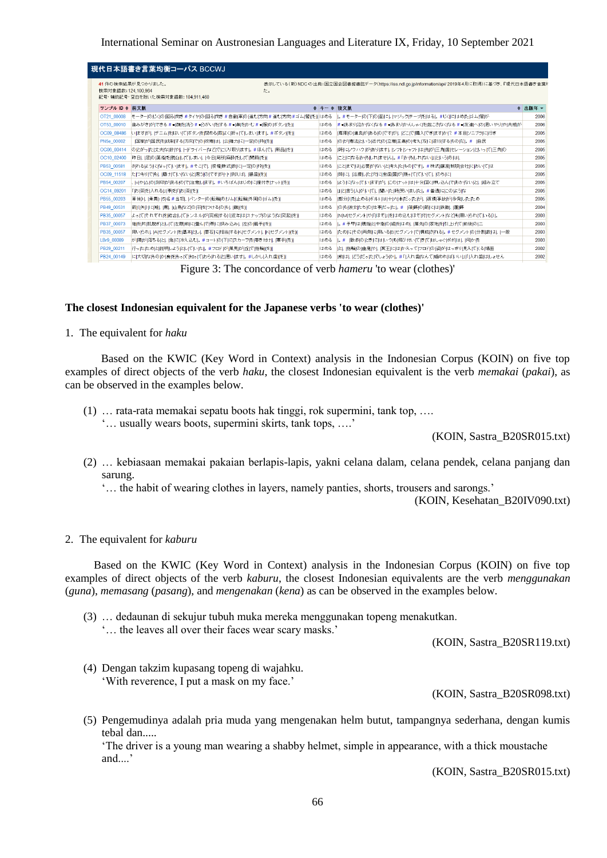| 検索対象語数: 124.100.964 | 41 件の検索結果が見つかりました。<br>た。                                             |     | 表示している(新)NDC の出典:国立国会図書館書誌データ(https://iss.ndl.go.jp/information/api/ 2019年4月に取得)に基づき、『現代日本語書き言葉』 |         |
|---------------------|----------------------------------------------------------------------|-----|--------------------------------------------------------------------------------------------------|---------|
|                     | 記号・補助記号・空白を除いた検索対象語数: 104,911,460                                    |     |                                                                                                  |         |
| サンブル ID ≑ 前文脈       |                                                                      |     | ◆ キー ◆ 後文脈                                                                                       | ◆ 出版年 ▼ |
| OT21 00008          | モーター(の)じく(の)回る 向き #タイヤ(の)回る 向き #自動 車(の)進む 方向 #進む 方向 #ゴム 管 (を)  はめる   |     | 。#モーター の 下 の 面 に 。 マジック テーブ を はる 。#じく  に はめ た ゴム 管 が                                             | 2006    |
| OT53 00010          | 歯みがき  ができる # = 顔 を 洗う # = うがい をはる # = 鼻 を かむ # = 服 の ポタン (を)         | はめる | #●あまり 泣か なく なる #●あまり かんしゃく を 起こさ なく なる #● 友達 へ の 思い やり や 共感 が                                    | 2006    |
| OC09 08486          | いますが、 デニム を はい て)ボタン を 閉める 際はく 折って しまい ます 。 #ボタン (を)                 | はめる | 専用 の 道具 がある の です が、」どこ で 購入 でき ます か ? #本日 ソニブラ  こ 行き                                             | 2005    |
| PN5e 00002          | 国家が 国民を 統制する 方向 で の 改憲  は、 公 権力  こ 一定 の 枠 (を)                        | はめる | の が  憲法 という 近代 の 立憲 主義 の 考え 方 に 逆行 する もの だ 。#  自民                                                | 2005    |
| OC06 00414          | の)とがった」丈夫なは目や、日ドライバーなどでにじり取ります。#ほんで、「新品」(を)                          | はめる | 時  に ノウハウ が ありはす ,  シフト シャフト は 先 が 三角 歯 セレーション と いっ  て 三角 の                                      | 2005    |
| OC10 02400          | 昨日、 足(の)薬指を 脱臼してしまい、 今日 局所 麻酔をして 関節 (を)                              | はめる | こと  こなる  かもしれません」。#「  かもしれない  」という の は、                                                          | 2005    |
| PB53 00581          | されるはうになっています。#そこで、授権 株式 数に 一定 の 枠 (を)                                | はめる | にとはでは」必要がないと「考えたもの」です。。#株式 譲渡 制限 会社 においては                                                        | 2005    |
| OC09 11518          | たつもりでも、「磨けていないと思うの」ですが十十例えば、「銀歯」を)                                   | はめる | 時に、 治療した 穴  こ 虫歯 菌 が 残っ で でい で、 ゆちに                                                              | 2005    |
| PB54 00207          | 6 や △ の 刻印 がある の で 注意 します 。#いちばん はじめ  口座付き ナット (を)                   | はめる | よう  こなっ  ていますが、にの ナット  ま  十分  固く  押し込ん  で おか ない と、  組み立て                                         | 2005    |
| OC14 09201          | 「お」茶を」入れる山事を「「お」茶」(を)                                                | はめる | 日と信う  人がいて、  聞いた  時 笑いました。#普通  こにのはうな                                                            | 2005    |
| PB55 00203          | 車体Dに  乗員  15 名#当初に バンター の 転輪  の リム ( 転輪  外周  の ゴム  (を)               | はめる | 部分) を 止めるボルト は 十 六 本 だった が 、 破損 事故 が 多発 し た ため                                                   | 2005    |
| PB49 00531          | 箭 ( 矢 )  こ 雉 、 鷹 、 山鳥 など の 羽 を つける の も 、 鏃 (を)                       | はめる | の1も1彼女たち1の1仕事だった1。#  篠峰1の1箭には1鉄鏃に「蘆峰」                                                            | 2004    |
| PB35 00057          | よってほれぞれをは合してトンネルが1完成する((近年はスナップのはうな1突起)(を)                           | はめる | NIMIセグメント や「『ほぞ』」をはめ込むほぞ 付 セグメントなども 用いられている() 。                                                  | 2003    |
| PB37 00073          | 神を 片 肌脱ぎ として 左腹 前 に 畳ん で 帯 に 挟み込みに 左 の 籠手 (を)                        | はめる | 。#手甲 は 親指 と 中指 の 綰 を はめ 、 肩先 の 家地 を1引上げて 前後 の 二                                                  | 2003    |
| PB35 00057          | 用いられ、  A  セグメント  を  基本 と し、  要石  こ  相当  する  K  セグメント   K  セグメント  (を) | はめる | ため  こその  両側  こ用いる  B セグメント で 構成は れる 。#セグメント の 分割  数 は、 一般                                        | 2003    |
| LBr9 00089          | が 陽 が 落ちる と、 急 に 冷え込む 。#コート の 下  に スカーフ を 巻き付け、 軍手 (を)               | はめる | 1。# 散歩ゆ]とぎにはいつも「飛び付いてきて」はしゃぐばボは、「何かを                                                             | 2003    |
| PB29 00211          | 行ったためと説明しようとしていた!。#フロドが!風見が!丘に!指輪(を)!                                | はめる | と、 指輪 の 幽鬼 や、 冥王  こ はゆえって フロドの 姿 が はっきり 見え てKる 場面                                                | 2002    |
| PB24 00149          | には大切な1もの)か!身を1もっ」で「知っ」で」おられる」と「思いはす」。 #しかし「入れ歯」(を)                   | はめる | 前 は、  どうだった でしょう か 。 #「 入れ歯 なんて  噛めれ  まいい   口入れ歯 はしょせん                                           | 2002    |

Figure 3: The concordance of verb *hameru* 'to wear (clothes)'

#### **The closest Indonesian equivalent for the Japanese verbs 'to wear (clothes)'**

1. The equivalent for *haku*

Based on the KWIC (Key Word in Context) analysis in the Indonesian Corpus (KOIN) on five top examples of direct objects of the verb *haku*, the closest Indonesian equivalent is the verb *memakai* (*pakai*), as can be observed in the examples below.

(1) … rata-rata memakai sepatu boots hak tinggi, rok supermini, tank top, …. '… usually wears boots, supermini skirts, tank tops, ….'

(KOIN, Sastra\_B20SR015.txt)

- (2) … kebiasaan memakai pakaian berlapis-lapis, yakni celana dalam, celana pendek, celana panjang dan sarung.
	- '… the habit of wearing clothes in layers, namely panties, shorts, trousers and sarongs.'

(KOIN, Kesehatan\_B20IV090.txt)

2. The equivalent for *kaburu*

Based on the KWIC (Key Word in Context) analysis in the Indonesian Corpus (KOIN) on five top examples of direct objects of the verb *kaburu*, the closest Indonesian equivalents are the verb *menggunakan*  (*guna*), *memasang* (*pasang*), and *mengenakan* (*kena*) as can be observed in the examples below.

- (3) … dedaunan di sekujur tubuh muka mereka menggunakan topeng menakutkan.
	- '… the leaves all over their faces wear scary masks.'

(KOIN, Sastra\_B20SR119.txt)

(4) Dengan takzim kupasang topeng di wajahku. 'With reverence, I put a mask on my face.'

(KOIN, Sastra\_B20SR098.txt)

(5) Pengemudinya adalah pria muda yang mengenakan helm butut, tampangnya sederhana, dengan kumis tebal dan.....

'The driver is a young man wearing a shabby helmet, simple in appearance, with a thick moustache and....'

(KOIN, Sastra\_B20SR015.txt)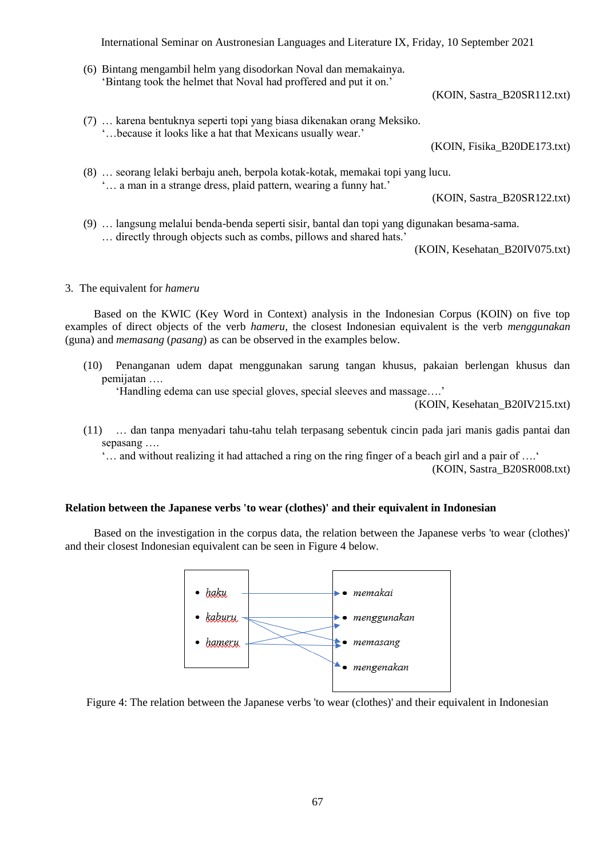International Seminar on Austronesian Languages and Literature IX, Friday, 10 September 2021

(6) Bintang mengambil helm yang disodorkan Noval dan memakainya. 'Bintang took the helmet that Noval had proffered and put it on.'

(KOIN, Sastra\_B20SR112.txt)

(7) … karena bentuknya seperti topi yang biasa dikenakan orang Meksiko. '…because it looks like a hat that Mexicans usually wear.'

(KOIN, Fisika\_B20DE173.txt)

(8) … seorang lelaki berbaju aneh, berpola kotak-kotak, memakai topi yang lucu. '… a man in a strange dress, plaid pattern, wearing a funny hat.'

(KOIN, Sastra\_B20SR122.txt)

(9) … langsung melalui benda-benda seperti sisir, bantal dan topi yang digunakan besama-sama. … directly through objects such as combs, pillows and shared hats.'

(KOIN, Kesehatan\_B20IV075.txt)

#### 3. The equivalent for *hameru*

Based on the KWIC (Key Word in Context) analysis in the Indonesian Corpus (KOIN) on five top examples of direct objects of the verb *hameru*, the closest Indonesian equivalent is the verb *menggunakan*  (guna) and *memasang* (*pasang*) as can be observed in the examples below.

(10) Penanganan udem dapat menggunakan sarung tangan khusus, pakaian berlengan khusus dan pemijatan ….

'Handling edema can use special gloves, special sleeves and massage….'

(KOIN, Kesehatan\_B20IV215.txt)

(11) … dan tanpa menyadari tahu-tahu telah terpasang sebentuk cincin pada jari manis gadis pantai dan sepasang ….

'… and without realizing it had attached a ring on the ring finger of a beach girl and a pair of ….'

(KOIN, Sastra\_B20SR008.txt)

## **Relation between the Japanese verbs 'to wear (clothes)' and their equivalent in Indonesian**

Based on the investigation in the corpus data, the relation between the Japanese verbs 'to wear (clothes)' and their closest Indonesian equivalent can be seen in Figure 4 below.



Figure 4: The relation between the Japanese verbs 'to wear (clothes)' and their equivalent in Indonesian